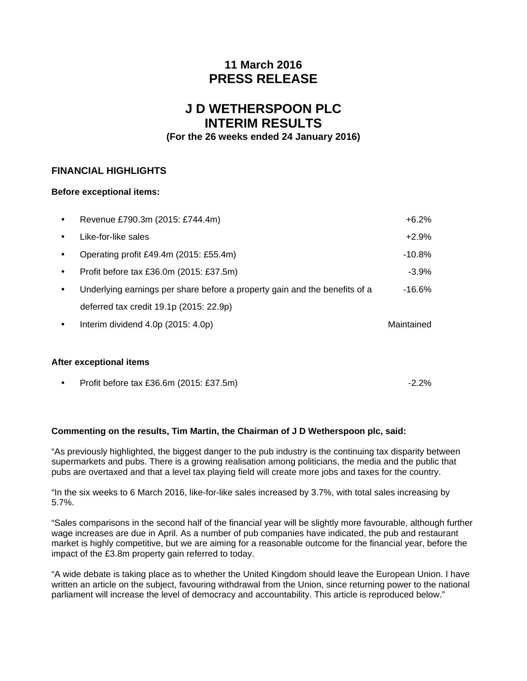# **11 March 2016 PRESS RELEASE**

# **J D WETHERSPOON PLC INTERIM RESULTS**

## **(For the 26 weeks ended 24 January 2016)**

### **FINANCIAL HIGHLIGHTS**

#### **Before exceptional items:**

| $\bullet$ | Revenue £790.3m (2015: £744.4m)                                            | $+6.2\%$   |
|-----------|----------------------------------------------------------------------------|------------|
| $\bullet$ | Like-for-like sales                                                        | $+2.9\%$   |
| $\bullet$ | Operating profit £49.4m (2015: £55.4m)                                     | -10.8%     |
| $\bullet$ | Profit before tax £36.0m (2015: £37.5m)                                    | $-3.9\%$   |
| ٠         | Underlying earnings per share before a property gain and the benefits of a | -16.6%     |
|           | deferred tax credit 19.1p (2015: 22.9p)                                    |            |
|           | Interim dividend $4.0p$ (2015: $4.0p$ )                                    | Maintained |
|           |                                                                            |            |

#### **After exceptional items**

| Profit before tax £36.6m (2015: £37.5m) | $-2.2%$ |  |
|-----------------------------------------|---------|--|
|                                         |         |  |

#### **Commenting on the results, Tim Martin, the Chairman of J D Wetherspoon plc, said:**

"As previously highlighted, the biggest danger to the pub industry is the continuing tax disparity between supermarkets and pubs. There is a growing realisation among politicians, the media and the public that pubs are overtaxed and that a level tax playing field will create more jobs and taxes for the country.

"In the six weeks to 6 March 2016, like-for-like sales increased by 3.7%, with total sales increasing by 5.7%.

"Sales comparisons in the second half of the financial year will be slightly more favourable, although further wage increases are due in April. As a number of pub companies have indicated, the pub and restaurant market is highly competitive, but we are aiming for a reasonable outcome for the financial year, before the impact of the £3.8m property gain referred to today.

"A wide debate is taking place as to whether the United Kingdom should leave the European Union. I have written an article on the subject, favouring withdrawal from the Union, since returning power to the national parliament will increase the level of democracy and accountability. This article is reproduced below."